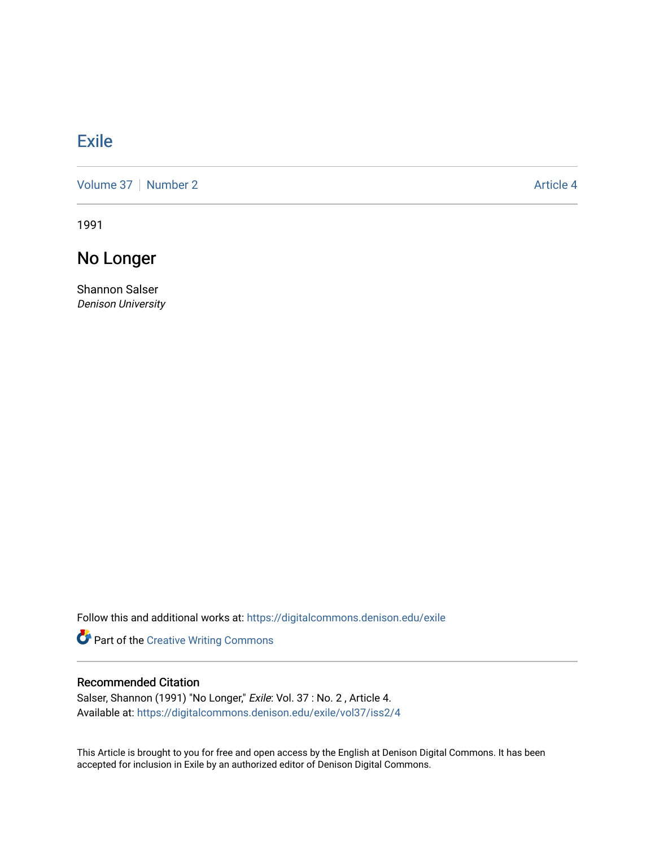## [Exile](https://digitalcommons.denison.edu/exile)

[Volume 37](https://digitalcommons.denison.edu/exile/vol37) | [Number 2](https://digitalcommons.denison.edu/exile/vol37/iss2) Article 4

1991

No Longer

Shannon Salser Denison University

Follow this and additional works at: [https://digitalcommons.denison.edu/exile](https://digitalcommons.denison.edu/exile?utm_source=digitalcommons.denison.edu%2Fexile%2Fvol37%2Fiss2%2F4&utm_medium=PDF&utm_campaign=PDFCoverPages) 

Part of the [Creative Writing Commons](http://network.bepress.com/hgg/discipline/574?utm_source=digitalcommons.denison.edu%2Fexile%2Fvol37%2Fiss2%2F4&utm_medium=PDF&utm_campaign=PDFCoverPages) 

## Recommended Citation

Salser, Shannon (1991) "No Longer," Exile: Vol. 37 : No. 2, Article 4. Available at: [https://digitalcommons.denison.edu/exile/vol37/iss2/4](https://digitalcommons.denison.edu/exile/vol37/iss2/4?utm_source=digitalcommons.denison.edu%2Fexile%2Fvol37%2Fiss2%2F4&utm_medium=PDF&utm_campaign=PDFCoverPages) 

This Article is brought to you for free and open access by the English at Denison Digital Commons. It has been accepted for inclusion in Exile by an authorized editor of Denison Digital Commons.